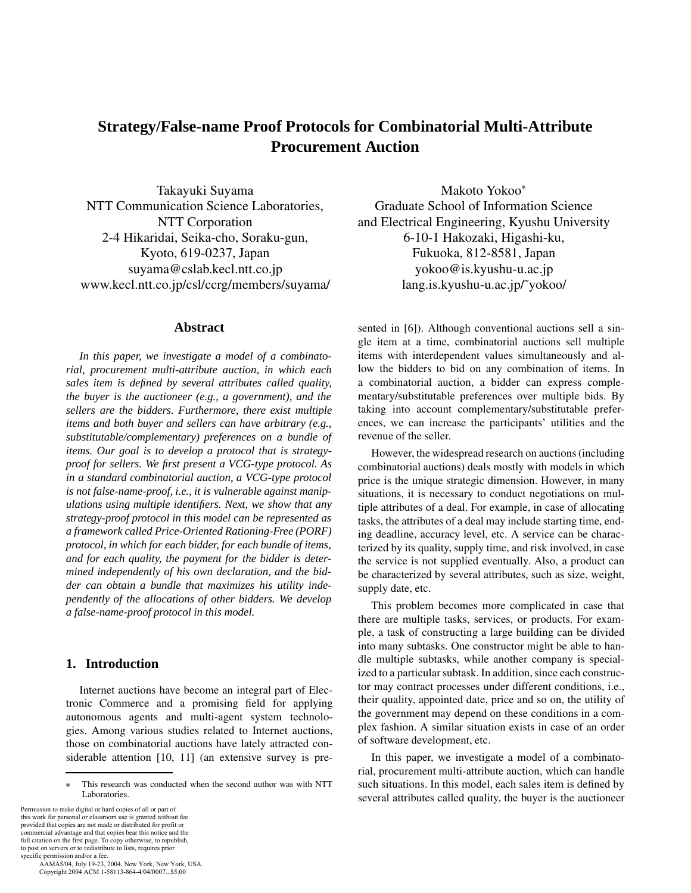# **Strategy/False-name Proof Protocols for Combinatorial Multi-Attribute Procurement Auction**

Takayuki Suyama NTT Communication Science Laboratories, NTT Corporation 2-4 Hikaridai, Seika-cho, Soraku-gun, Kyoto, 619-0237, Japan suyama@cslab.kecl.ntt.co.jp www.kecl.ntt.co.jp/csl/ccrg/members/suyama/

# **Abstract**

*In this paper, we investigate a model of a combinatorial, procurement multi-attribute auction, in which each sales item is defined by several attributes called quality, the buyer is the auctioneer (e.g., a government), and the sellers are the bidders. Furthermore, there exist multiple items and both buyer and sellers can have arbitrary (e.g., substitutable/complementary) preferences on a bundle of items. Our goal is to develop a protocol that is strategyproof for sellers. We first present a VCG-type protocol. As in a standard combinatorial auction, a VCG-type protocol is not false-name-proof, i.e., it is vulnerable against manipulations using multiple identifiers. Next, we show that any strategy-proof protocol in this model can be represented as a framework called Price-Oriented Rationing-Free (PORF) protocol, in which for each bidder, for each bundle of items, and for each quality, the payment for the bidder is determined independently of his own declaration, and the bidder can obtain a bundle that maximizes his utility independently of the allocations of other bidders. We develop a false-name-proof protocol in this model.*

# **1. Introduction**

Internet auctions have become an integral part of Electronic Commerce and a promising field for applying autonomous agents and multi-agent system technologies. Among various studies related to Internet auctions, those on combinatorial auctions have lately attracted considerable attention [10, 11] (an extensive survey is pre-

Permission to make digital or hard copies of all or part of this work for personal or classroom use is granted without fee provided that copies are not made or distributed for profit or commercial advantage and that copies bear this notice and the full citation on the first page. To copy otherwise, to republish, to post on servers or to redistribute to lists, requires prior specific permission and/or a fee.

 AAMAS'04, July 19-23, 2004, New York, New York, USA. Copyright 2004 ACM 1-58113-864-4/04/0007...\$5.00

Makoto Yokoo Graduate School of Information Science and Electrical Engineering, Kyushu University 6-10-1 Hakozaki, Higashi-ku, Fukuoka, 812-8581, Japan yokoo@is.kyushu-u.ac.jp lang.is.kyushu-u.ac.jp/˜yokoo/

sented in [6]). Although conventional auctions sell a single item at a time, combinatorial auctions sell multiple items with interdependent values simultaneously and allow the bidders to bid on any combination of items. In a combinatorial auction, a bidder can express complementary/substitutable preferences over multiple bids. By taking into account complementary/substitutable preferences, we can increase the participants' utilities and the revenue of the seller.

However, the widespread research on auctions (including combinatorial auctions) deals mostly with models in which price is the unique strategic dimension. However, in many situations, it is necessary to conduct negotiations on multiple attributes of a deal. For example, in case of allocating tasks, the attributes of a deal may include starting time, ending deadline, accuracy level, etc. A service can be characterized by its quality, supply time, and risk involved, in case the service is not supplied eventually. Also, a product can be characterized by several attributes, such as size, weight, supply date, etc.

This problem becomes more complicated in case that there are multiple tasks, services, or products. For example, a task of constructing a large building can be divided into many subtasks. One constructor might be able to handle multiple subtasks, while another company is specialized to a particular subtask. In addition, since each constructor may contract processes under different conditions, i.e., their quality, appointed date, price and so on, the utility of the government may depend on these conditions in a complex fashion. A similar situation exists in case of an order of software development, etc.

In this paper, we investigate a model of a combinatorial, procurement multi-attribute auction, which can handle such situations. In this model, each sales item is defined by several attributes called quality, the buyer is the auctioneer

This research was conducted when the second author was with NTT  $\ast$ Laboratories.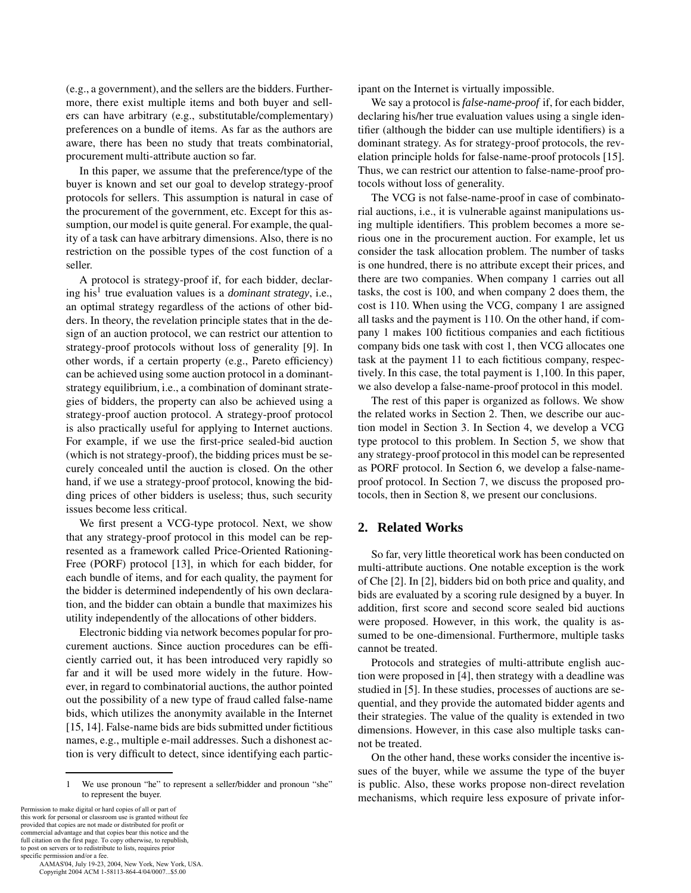(e.g., a government), and the sellers are the bidders. Furthermore, there exist multiple items and both buyer and sellers can have arbitrary (e.g., substitutable/complementary) preferences on a bundle of items. As far as the authors are aware, there has been no study that treats combinatorial, procurement multi-attribute auction so far.

In this paper, we assume that the preference/type of the buyer is known and set our goal to develop strategy-proof protocols for sellers. This assumption is natural in case of the procurement of the government, etc. Except for this assumption, our model is quite general. For example, the quality of a task can have arbitrary dimensions. Also, there is no restriction on the possible types of the cost function of a seller.

A protocol is strategy-proof if, for each bidder, declaring his1 true evaluation values is a *dominant strategy*, i.e., an optimal strategy regardless of the actions of other bidders. In theory, the revelation principle states that in the design of an auction protocol, we can restrict our attention to strategy-proof protocols without loss of generality [9]. In other words, if a certain property (e.g., Pareto efficiency) can be achieved using some auction protocol in a dominantstrategy equilibrium, i.e., a combination of dominant strategies of bidders, the property can also be achieved using a strategy-proof auction protocol. A strategy-proof protocol is also practically useful for applying to Internet auctions. For example, if we use the first-price sealed-bid auction (which is not strategy-proof), the bidding prices must be securely concealed until the auction is closed. On the other hand, if we use a strategy-proof protocol, knowing the bidding prices of other bidders is useless; thus, such security issues become less critical.

We first present a VCG-type protocol. Next, we show that any strategy-proof protocol in this model can be represented as a framework called Price-Oriented Rationing-Free (PORF) protocol [13], in which for each bidder, for each bundle of items, and for each quality, the payment for the bidder is determined independently of his own declaration, and the bidder can obtain a bundle that maximizes his utility independently of the allocations of other bidders.

Electronic bidding via network becomes popular for procurement auctions. Since auction procedures can be efficiently carried out, it has been introduced very rapidly so far and it will be used more widely in the future. However, in regard to combinatorial auctions, the author pointed out the possibility of a new type of fraud called false-name bids, which utilizes the anonymity available in the Internet [15, 14]. False-name bids are bids submitted under fictitious names, e.g., multiple e-mail addresses. Such a dishonest action is very difficult to detect, since identifying each partic-

Permission to make digital or hard copies of all or part of this work for personal or classroom use is granted without fee provided that copies are not made or distributed for profit or commercial advantage and that copies bear this notice and the full citation on the first page. To copy otherwise, to republish, to post on servers or to redistribute to lists, requires prior specific permission and/or a fee.

 AAMAS'04, July 19-23, 2004, New York, New York, USA. Copyright 2004 ACM 1-58113-864-4/04/0007...\$5.00

ipant on the Internet is virtually impossible.

We say a protocol is *false-name-proof* if, for each bidder, declaring his/her true evaluation values using a single identifier (although the bidder can use multiple identifiers) is a dominant strategy. As for strategy-proof protocols, the revelation principle holds for false-name-proof protocols [15]. Thus, we can restrict our attention to false-name-proof protocols without loss of generality.

The VCG is not false-name-proof in case of combinatorial auctions, i.e., it is vulnerable against manipulations using multiple identifiers. This problem becomes a more serious one in the procurement auction. For example, let us consider the task allocation problem. The number of tasks is one hundred, there is no attribute except their prices, and there are two companies. When company 1 carries out all tasks, the cost is 100, and when company 2 does them, the cost is 110. When using the VCG, company 1 are assigned all tasks and the payment is 110. On the other hand, if company 1 makes 100 fictitious companies and each fictitious company bids one task with cost 1, then VCG allocates one task at the payment 11 to each fictitious company, respectively. In this case, the total payment is 1,100. In this paper, we also develop a false-name-proof protocol in this model.

The rest of this paper is organized as follows. We show the related works in Section 2. Then, we describe our auction model in Section 3. In Section 4, we develop a VCG type protocol to this problem. In Section 5, we show that any strategy-proof protocol in this model can be represented as PORF protocol. In Section 6, we develop a false-nameproof protocol. In Section 7, we discuss the proposed protocols, then in Section 8, we present our conclusions.

# **2. Related Works**

So far, very little theoretical work has been conducted on multi-attribute auctions. One notable exception is the work of Che [2]. In [2], bidders bid on both price and quality, and bids are evaluated by a scoring rule designed by a buyer. In addition, first score and second score sealed bid auctions were proposed. However, in this work, the quality is assumed to be one-dimensional. Furthermore, multiple tasks cannot be treated.

Protocols and strategies of multi-attribute english auction were proposed in [4], then strategy with a deadline was studied in [5]. In these studies, processes of auctions are sequential, and they provide the automated bidder agents and their strategies. The value of the quality is extended in two dimensions. However, in this case also multiple tasks cannot be treated.

On the other hand, these works consider the incentive issues of the buyer, while we assume the type of the buyer is public. Also, these works propose non-direct revelation mechanisms, which require less exposure of private infor-

<sup>1</sup> We use pronoun "he" to represent a seller/bidder and pronoun "she" to represent the buyer.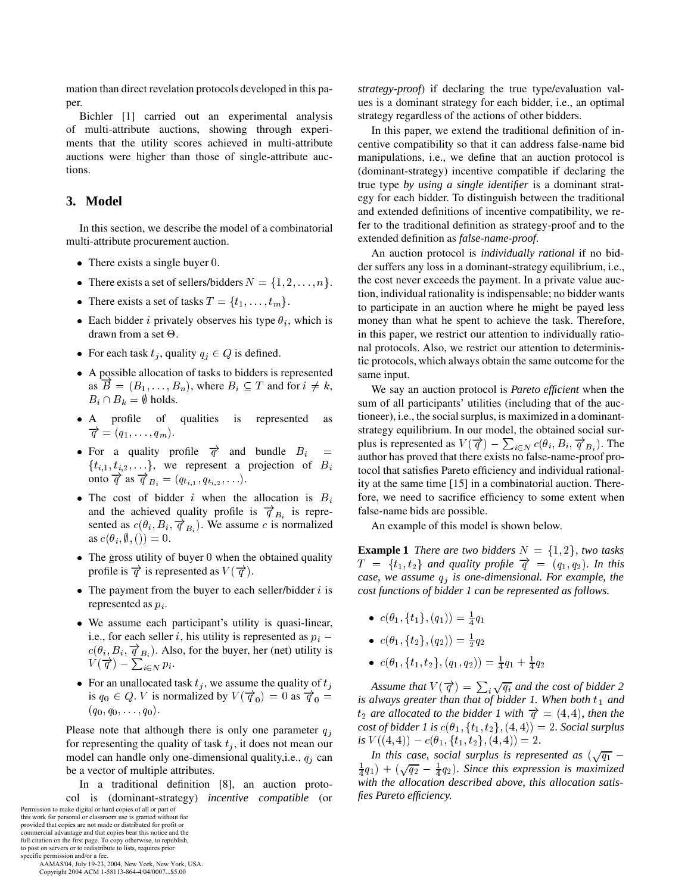mation than direct revelation protocols developed in this paper.

Bichler [1] carried out an experimental analysis of multi-attribute auctions, showing through experiments that the utility scores achieved in multi-attribute auctions were higher than those of single-attribute auctions.

# **3. Model**

In this section, we describe the model of a combinatorial multi-attribute procurement auction.

- $\bullet$  There exists a single buyer 0.
- There exists a set of sellers/bidders  $N = \{1, 2, \ldots, n\}.$
- There exists a set of tasks  $T = \{t_1, \ldots, t_m\}.$
- Each bidder *i* privately observes his type  $\theta_i$ , which is drawn from a set  $\Theta$ .
- For each task  $t_i$ , quality  $q_i \in Q$  is defined.
- A possible allocation of tasks to bidders is represented as  $B = (B_1, \ldots, B_n)$ , where  $B_i \subseteq T$  and for  $i \neq k$ , We  $B_i \cap B_k = \emptyset$  holds.
- A profile of qualities is represented as  $\overrightarrow{q}=(q_1,\ldots,q_m).$
- For a quality profile  $\overrightarrow{q}$  and bundle  $B_i$  $=$  $\{t_{i,1}, t_{i,2}, \ldots\}$ , we represent a projection of B onto  $\overrightarrow{q}$  as  $\overrightarrow{q}_{B_i} = (q_{t_{i,1}}, q_{t_{i,2}}, \ldots).$
- The cost of bidder *i* when the allocation is  $B_i$ and the achieved quality profile is  $\overrightarrow{q}_{B_i}$  is represented as  $c(\theta_i, B_i, \overrightarrow{q}_{B_i})$ . We assume c is normalized as  $c(\theta_i, \emptyset, ...) = 0$ .
- $\bullet$  The gross utility of buyer 0 when the obtained quality profile is  $\vec{q}$  is represented as  $V(\vec{q})$ .
- $\bullet$  The payment from the buyer to each seller/bidder *i* is represented as  $p_i$ .
- We assume each participant's utility is quasi-linear, i.e., for each seller i, his utility is represented as  $p_i$  –  $c(\theta_i, B_i, \overrightarrow{q}_{B_i})$ . Also, for the buyer, her (net) utility is  $V(\overrightarrow{q}) - \sum_{i \in N} p_i.$
- For an unallocated task  $t_i$ , we assume the quality of  $t_i$ is  $q_0 \in Q$ . V is normalized by  $V(\vec{q}_0) = 0$  as  $\vec{q}_0 =$  $(q_0,q_0,\ldots,q_0).$

Please note that although there is only one parameter  $q_i$ for representing the quality of task  $t_i$ , it does not mean our model can handle only one-dimensional quality, i.e.,  $q_i$  can be a vector of multiple attributes.

In a traditional definition [8], an auction protocol is (dominant-strategy) *incentive compatible* (or

Permission to make digital or hard copies of all or part of this work for personal or classroom use is granted without fee provided that copies are not made or distributed for profit or commercial advantage and that copies bear this notice and the full citation on the first page. To copy otherwise, to republish, to post on servers or to redistribute to lists, requires prior

specific permission and/or a fee. AAMAS'04, July 19-23, 2004, New York, New York, USA. Copyright 2004 ACM 1-58113-864-4/04/0007...\$5.00

*strategy-proof*) if declaring the true type/evaluation values is a dominant strategy for each bidder, i.e., an optimal strategy regardless of the actions of other bidders.

In this paper, we extend the traditional definition of incentive compatibility so that it can address false-name bid manipulations, i.e., we define that an auction protocol is (dominant-strategy) incentive compatible if declaring the true type *by using a single identifier* is a dominant strategy for each bidder. To distinguish between the traditional and extended definitions of incentive compatibility, we refer to the traditional definition as strategy-proof and to the extended definition as *false-name-proof*.

An auction protocol is *individually rational* if no bidder suffers any loss in a dominant-strategy equilibrium, i.e., the cost never exceeds the payment. In a private value auction, individual rationality is indispensable; no bidder wants to participate in an auction where he might be payed less money than what he spent to achieve the task. Therefore, in this paper, we restrict our attention to individually rational protocols. Also, we restrict our attention to deterministic protocols, which always obtain the same outcome for the same input.

 $\frac{a}{c}$  author has proved that there exists no false-name-proof pro-We say an auction protocol is *Pareto efficient* when the sum of all participants' utilities (including that of the auctioneer), i.e., the social surplus, is maximized in a dominantstrategy equilibrium. In our model, the obtained social surplus is represented as  $V(\vec{q}) - \sum_{i \in N} c(\theta_i, B_i, \vec{q}, B_i)$ . The tocol that satisfies Pareto efficiency and individual rationality at the same time [15] in a combinatorial auction. Therefore, we need to sacrifice efficiency to some extent when false-name bids are possible.

An example of this model is shown below.

**Example 1** *There are two bidders*  $N = \{1, 2\}$ *, two tasks*  $T = \{t_1, t_2\}$  and quality profile  $\overrightarrow{q} = (q_1, q_2)$ . In this  $case, we assume q<sub>i</sub> is one-dimensional. For example, the$ *cost functions of bidder 1 can be represented as follows.*

- $c(\theta_1, \{i_1\}, \{q_1\}) = \frac{1}{4}q_1$
- $c(\theta_1, {\{t_2\}, (q_2)) = \frac{1}{2}q_2$
- $c(\sigma_1, \{i_1, i_2\}, (q_1, q_2)) = \frac{1}{4}q_1 + \frac{1}{4}q_2$

 *is always greater than that of bidder 1. When both and*  $is V((4,4)) - c(\theta_1, \{t_1, t_2\}, (4,4)) = 2.$ Assume that  $V(\overrightarrow{q}) = \sum_i \sqrt{q_i}$  and the cost of bidder 2  $t_2$  are allocated to the bidder 1 with  $\vec{q} = (4, 4)$ , then the  $cost$  of bidder 1 is  $c(\theta_1, \{t_1, t_2\}, (4,4)) = 2$ . Social surplus

> *In this case, social surplus is represented as*  $(\sqrt{q_1} \frac{1}{4}q_1$ ) + ( $\sqrt{q_2}$  –  $\frac{1}{4}q_2$ ). Since this expression is maximized *with the allocation described above, this allocation satisfies Pareto efficiency.*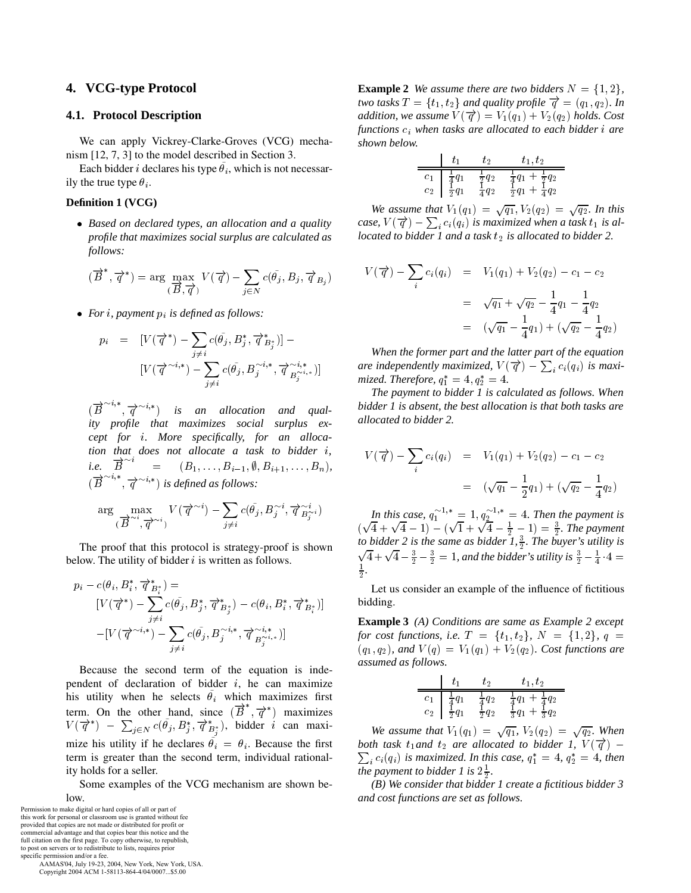# **4. VCG-type Protocol**

## **4.1. Protocol Description**

We can apply Vickrey-Clarke-Groves (VCG) mechanism [12, 7, 3] to the model described in Section 3.

Each bidder *i* declares his type  $\theta_i$ , which is not necessarily the true type  $\theta_i$ .

#### **Definition 1 (VCG)**

 *Based on declared types, an allocation and a quality profile that maximizes social surplus are calculated as follows:*

$$
(\overrightarrow{B}^*, \overrightarrow{q}^*) = \arg\max_{(\overrightarrow{B}, \overrightarrow{q})} V(\overrightarrow{q}) - \sum_{j \in N} c(\tilde{\theta}_j, B_j, \overrightarrow{q}_{B_j})
$$

*For , payment is defined as follows:*

$$
p_i = [V(\overrightarrow{q}^*) - \sum_{j \neq i} c(\tilde{\theta}_j, B_j^*, \overrightarrow{q}^*_{B_j^*})] -
$$
  

$$
[V(\overrightarrow{q}^{\sim i,*}) - \sum_{j \neq i} c(\tilde{\theta}_j, B_j^{\sim i,*}, \overrightarrow{q}^{\sim i,*}_{B_j^{\sim i,*}})]
$$

 $(B^{n+1}, \overrightarrow{q}^{\sim i,*})$  *is an allocation and quality profile that maximizes social surplus except for . More specifically, for an allocation that does not allocate a task to bidder <i>i*, *i.e.*  $B^{(1)} = (B_1, \ldots, B_{i-1}, \emptyset, B_{i+1}, \ldots, B_n),$  $B$  =  $(B \overset{\sim}{\rightarrow} , \overrightarrow{q}^{\sim i,*})$  is defined as follows:

$$
\arg\max_{(\overrightarrow{B}^{\sim i},\overrightarrow{q}^{\sim i})}V(\overrightarrow{q}^{\sim i})-\sum_{j\neq i}c(\widetilde{\theta}_j,B^{\sim i}_j,\overrightarrow{q}^{\sim i}_{B^{\sim i}_j})
$$

The proof that this protocol is strategy-proof is shown below. The utility of bidder  $i$  is written as follows.

$$
p_i - c(\theta_i, B_i^*, \overrightarrow{q}_{B_i^*}^*) =
$$
  
\n
$$
[V(\overrightarrow{q}^*) - \sum_{j \neq i} c(\tilde{\theta}_j, B_j^*, \overrightarrow{q}_{B_j^*}^*) - c(\theta_i, B_i^*, \overrightarrow{q}_{B_i^*}^*)]
$$
  
\n
$$
-[V(\overrightarrow{q}^{\sim i,*}) - \sum_{j \neq i} c(\tilde{\theta}_j, B_j^{\sim i,*}, \overrightarrow{q}_{B_j^{\sim i,*}}^{\sim i,*})]
$$

Because the second term of the equation is independent of declaration of bidder  $i$ , he can maximize his utility when he selects  $\theta_i$  which maximizes first term. On the other hand, since  $(B, \overrightarrow{q}^*)$  maximizes  $V(\overrightarrow{q}^*)$  –  $\sum_{j \in N} c(\theta_j, B_j^*, \overrightarrow{q}_{B_i^*}^*)$ , bidder *i* can maxi-mize his utility if he declares  $\theta_i = \theta_i$ . Because the first term is greater than the second term, individual rationality holds for a seller.

Some examples of the VCG mechanism are shown be-

specific permission and/or a fee. AAMAS'04, July 19-23, 2004, New York, New York, USA. Copyright 2004 ACM 1-58113-864-4/04/0007...\$5.00

**Example 2** We assume there are two bidders  $N = \{1, 2\}$ , *two tasks*  $T = \{t_1, t_2\}$  and quality profile  $\overrightarrow{q} = (q_1, q_2)$ . In *addition, we assume*  $V(\vec{q}) = V_1(q_1) + V_2(q_2)$  *holds.* Cost *functions when tasks are allocated to each bidder are shown below.*

|                                                                               | ŧо | $t_1, t_2$                                                                                               |  |
|-------------------------------------------------------------------------------|----|----------------------------------------------------------------------------------------------------------|--|
| $\begin{array}{c c} c_1 & \frac{1}{4}q_1 \\ c_2 & \frac{1}{2}q_1 \end{array}$ |    | $\frac{1}{2}q_2$ $\frac{1}{4}q_1 + \frac{1}{2}q_2$<br>$\frac{1}{4}q_2$ $\frac{1}{2}q_1 + \frac{1}{4}q_2$ |  |

*We assume that*  $V_1(q_1) = \sqrt{q_1}$ ,  $V_2(q_2) = \sqrt{q_2}$ . In this case,  $V(\overrightarrow{q}) - \sum_i c_i(q_i)$  is maximized when a task  $t_1$  is al*located to bidder 1 and a task is allocated to bidder 2.*

$$
V(\vec{q}) - \sum_{i} c_i(q_i) = V_1(q_1) + V_2(q_2) - c_1 - c_2
$$
  
=  $\sqrt{q_1} + \sqrt{q_2} - \frac{1}{4}q_1 - \frac{1}{4}q_2$   
=  $(\sqrt{q_1} - \frac{1}{4}q_1) + (\sqrt{q_2} - \frac{1}{4}q_2)$ 

*When the former part and the latter part of the equation* are independently maximized,  $V(\overrightarrow{q}) - \sum_i c_i(q_i)$  is maxi*mized. Therefore,*  $q_1^* = 4, q_2^* = 4$ .

*The payment to bidder 1 is calculated as follows. When bidder 1 is absent, the best allocation is that both tasks are allocated to bidder 2.*

$$
V(\vec{q}) - \sum_{i} c_i(q_i) = V_1(q_1) + V_2(q_2) - c_1 - c_2
$$
  
=  $(\sqrt{q_1} - \frac{1}{2}q_1) + (\sqrt{q_2} - \frac{1}{4}q_2)$ 

*In this case,*  $q_1^{\sim 1,*} = 1, q_2^{\sim 1,*} = 4$ . *Then the payment is*  $(\sqrt{4} + \sqrt{4} - 1) - (\sqrt{1} \overline{4} - 1) - (\sqrt{1} + \sqrt{4} - \frac{1}{2} \overline{1} + \sqrt{4} - \frac{1}{2} - 1) = \frac{3}{2}$ . The payment *to bidder 2 is the same as bidder 1, . The buyer's utility is*  $\sqrt{4} + \sqrt{4} - \frac{3}{2} - \frac{3}{2} = 1$ , and the bidder's utility is  $\frac{3}{2} - \frac{1}{4} \cdot 4 =$ *.*

Let us consider an example of the influence of fictitious bidding.

**Example 3** *(A) Conditions are same as Example 2 except for cost functions, i.e.*  $T = \{t_1, t_2\}$ ,  $N = \{1, 2\}$ ,  $q =$  $(q_1, q_2)$ , and  $V(q) = V_1(q_1) + V_2(q_2)$ . Cost functions are *assumed as follows.*

|  | もっ | $t_1, t_2$                                                                                                                                                                           |  |
|--|----|--------------------------------------------------------------------------------------------------------------------------------------------------------------------------------------|--|
|  |    | $\begin{array}{c cc} c_1 & \frac{1}{4}q_1 & \frac{1}{4}q_2 & \frac{1}{4}q_1 + \frac{1}{4}q_2 \\ c_2 & \frac{1}{2}q_1 & \frac{1}{2}q_2 & \frac{1}{3}q_1 + \frac{1}{3}q_2 \end{array}$ |  |
|  |    |                                                                                                                                                                                      |  |

*We assume that*  $V_1(q_1) = \sqrt{q_1}$ ,  $V_2(q_2) = \sqrt{q_2}$ . When  $\sum_i c_i(q_i)$  is maximized. In this case,  $q_1^* = 4$ ,  $q_2^* = 4$ , then *both task t<sub>1</sub> and t<sub>2</sub> are allocated to bidder 1,*  $V(\vec{q})$  *– the payment to bidder 1 is*  $2\frac{1}{2}$ *.* 

*(B) We consider that bidder 1 create a fictitious bidder 3 and cost functions are set as follows.*

low. Permission to make digital or hard copies of all or part of this work for personal or classroom use is granted without fee provided that copies are not made or distributed for profit or commercial advantage and that copies bear this notice and the full citation on the first page. To copy otherwise, to republish, to post on servers or to redistribute to lists, requires prior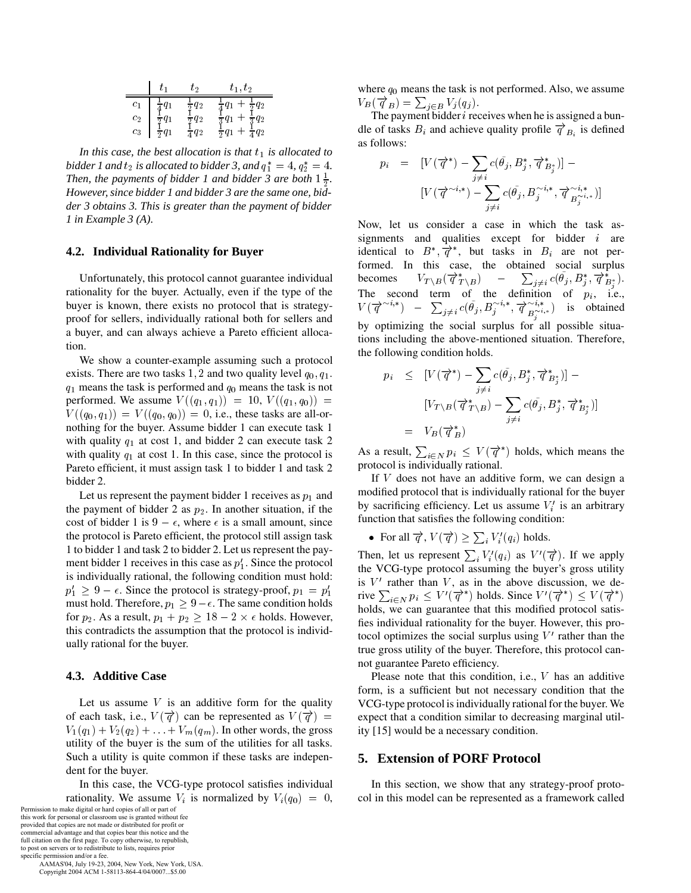|                  |                  | tэ               | $t_1, t_2$                          |  |
|------------------|------------------|------------------|-------------------------------------|--|
| $c_1$            |                  | $rac{1}{2}q_2$   | $rac{1}{2}q_2$                      |  |
| $\mathfrak{c}_2$ | $rac{1}{2}q_1$   | $rac{1}{2}q_2$   | $rac{1}{3}q_1$<br>$+\frac{1}{2}q_2$ |  |
| $c_3$            | $\frac{1}{2}q_1$ | $\frac{1}{4}q_2$ | $rac{1}{4}q_2$<br>$\overline{5}q_1$ |  |

*In this case, the best allocation is that is allocated to bidder 1 and*  $t_2$  *is allocated to bidder 3, and*  $q_1^* = 4$ ,  $q_2^* = 4$ . *Then, the payments of bidder 1 and bidder 3 are both*  $1\frac{1}{2}$ *. However, since bidder 1 and bidder 3 are the same one, bidder 3 obtains 3. This is greater than the payment of bidder 1 in Example 3 (A).*

## **4.2. Individual Rationality for Buyer**

Unfortunately, this protocol cannot guarantee individual rationality for the buyer. Actually, even if the type of the buyer is known, there exists no protocol that is strategyproof for sellers, individually rational both for sellers and a buyer, and can always achieve a Pareto efficient allocation.

We show a counter-example assuming such a protocol exists. There are two tasks 1, 2 and two quality level  $q_0, q_1$ .  $p_i$  $q_1$  means the task is performed and  $q_0$  means the task is not performed. We assume  $V((q_1, q_1)) = 10, V((q_1, q_0)) =$  $V((q_0, q_1)) = V((q_0, q_0)) = 0$ , i.e., these tasks are all-ornothing for the buyer. Assume bidder 1 can execute task 1 with quality  $q_1$  at cost 1, and bidder 2 can execute task 2 with quality  $q_1$  at cost 1. In this case, since the protocol is Pareto efficient, it must assign task 1 to bidder 1 and task 2 bidder 2.

Let us represent the payment bidder 1 receives as  $p_1$  and the payment of bidder 2 as  $p_2$ . In another situation, if the cost of bidder 1 is  $9 - \epsilon$ , where  $\epsilon$  is a small amount, since the protocol is Pareto efficient, the protocol still assign task 1 to bidder 1 and task 2 to bidder 2. Let us represent the payment bidder 1 receives in this case as  $p_1'$ . Since the protocol is individually rational, the following condition must hold:  $p'_1 \geq 9 - \epsilon$ . Since the protocol is strategy-proof,  $p_1 = p'_1$ must hold. Therefore,  $p_1 \geq 9 - \epsilon$ . The same condition holds for  $p_2$ . As a result,  $p_1 + p_2 \ge 18 - 2 \times \epsilon$  holds. However, this contradicts the assumption that the protocol is individually rational for the buyer.

#### **4.3. Additive Case**

Let us assume  $V$  is an additive form for the quality of each task, i.e.,  $V(\vec{q})$  can be represented as  $V(\vec{q}) =$  $V_1(q_1) + V_2(q_2) + \ldots + V_m(q_m)$ . In other words, the gross utility of the buyer is the sum of the utilities for all tasks. Such a utility is quite common if these tasks are independent for the buyer.

In this case, the VCG-type protocol satisfies individual rationality. We assume  $V_i$  is normalized by  $V_i(q_0) = 0$ , col in Permission to make digital or hard copies of all or part of

this work for personal or classroom use is granted without fee provided that copies are not made or distributed for profit or commercial advantage and that copies bear this notice and the full citation on the first page. To copy otherwise, to republish, to post on servers or to redistribute to lists, requires prior

specific permission and/or a fee. AAMAS'04, July 19-23, 2004, New York, New York, USA. Copyright 2004 ACM 1-58113-864-4/04/0007...\$5.00

where  $q_0$  means the task is not performed. Also, we assume  $V_B(\overrightarrow{q}_B) = \sum_{j \in B} V_j(q_j).$ 

The payment bidder  $i$  receives when he is assigned a bundle of tasks  $B_i$  and achieve quality profile  $\overrightarrow{q}_{B_i}$  is defined as follows:

$$
p_i = [V(\overrightarrow{q}^*) - \sum_{j \neq i} c(\widetilde{\theta}_j, B_j^*, \overrightarrow{q}_{B_j^*}^*)] -
$$
  

$$
[V(\overrightarrow{q}^{\sim i,*}) - \sum_{j \neq i} c(\widetilde{\theta}_j, B_j^{\sim i,*}, \overrightarrow{q}_{B_j^{\sim i,*}}^{\sim i,*})]
$$

Now, let us consider a case in which the task assignments and qualities except for bidder  $i$  are identical to  $B^*, \overrightarrow{q}^*,$  but tasks in  $B_i$  are not performed. In this case, the obtained social surplus becomes  $V_{T\setminus B}(\overrightarrow{q}_{T\setminus B})$  –  $\sum_{j\neq i}c(\theta_j, B_j^*, \overrightarrow{q}_{B_i^*}).$ The second term of the definition of  $p_i$ , i.e.,  $V(\overline{q}^{\sim i,*})$  –  $\sum_{j\neq i}c(\theta_j,B_j^{\sim i,*},\overline{q}^{\sim i,*}_{B_j^{\sim i,*}})$  is obtained -by optimizing the social surplus for all possible situations including the above-mentioned situation. Therefore, the following condition holds.

$$
p_i \leq [V(\overrightarrow{q}^*) - \sum_{j \neq i} c(\tilde{\theta}_j, B_j^*, \overrightarrow{q}^*_{B_j^*})] -
$$
  
\n
$$
[V_{T \setminus B}(\overrightarrow{q}^*_{T \setminus B}) - \sum_{j \neq i} c(\tilde{\theta}_j, B_j^*, \overrightarrow{q}^*_{B_j^*})]
$$
  
\n
$$
= V_B(\overrightarrow{q}^*_{B})
$$

As a result,  $\sum_{i \in N} p_i \leq V(\overrightarrow{q}^*)$  holds, which means the protocol is individually rational.

If  $V$  does not have an additive form, we can design a modified protocol that is individually rational for the buyer by sacrificing efficiency. Let us assume  $V_i'$  is an arbitrary function that satisfies the following condition:

• For all 
$$
\overrightarrow{q}
$$
,  $V(\overrightarrow{q}) \ge \sum_i V'_i(q_i)$  holds.

Then, let us represent  $\sum_i V'_i(q_i)$  as  $V'(\vec{q})$ . If we apply the VCG-type protocol assuming the buyer's gross utility is  $V'$  rather than  $V$ , as in the above discussion, we derive  $\sum_{i \in N} p_i \leq V'(\overrightarrow{q}^*)$  holds. Since  $V'(\overrightarrow{q}^*) \leq V(\overrightarrow{q}^*)$  $\mathbf{r}$ holds, we can guarantee that this modified protocol satisfies individual rationality for the buyer. However, this protocol optimizes the social surplus using  $V'$  rather than the true gross utility of the buyer. Therefore, this protocol cannot guarantee Pareto efficiency.

Please note that this condition, i.e.,  $V$  has an additive form, is a sufficient but not necessary condition that the VCG-type protocol is individually rational for the buyer. We expect that a condition similar to decreasing marginal utility [15] would be a necessary condition.

## **5. Extension of PORF Protocol**

In this section, we show that any strategy-proof protocol in this model can be represented as a framework called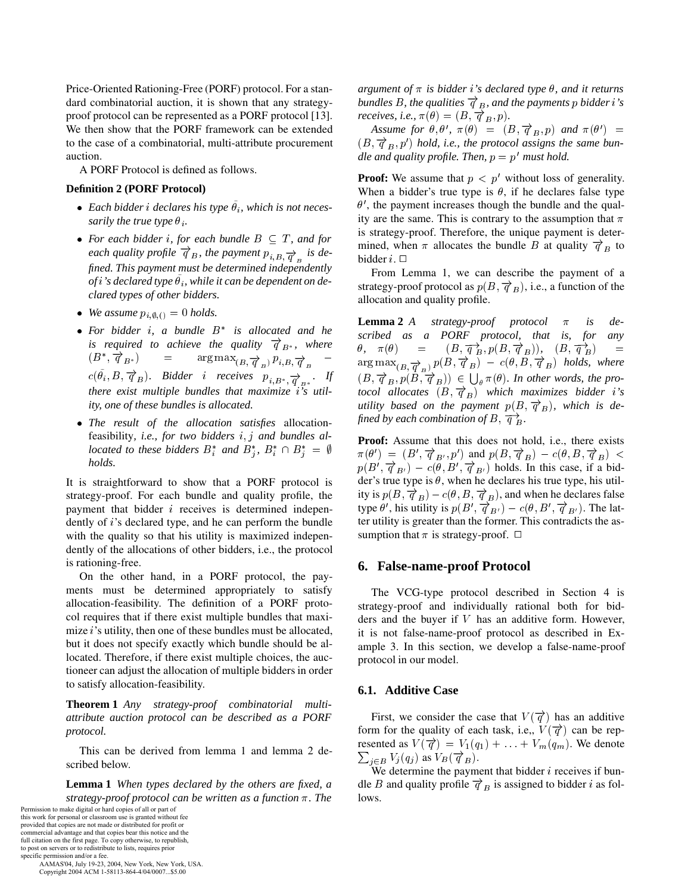Price-Oriented Rationing-Free (PORF) protocol. For a standard combinatorial auction, it is shown that any strategyproof protocol can be represented as a PORF protocol [13]. We then show that the PORF framework can be extended to the case of a combinatorial, multi-attribute procurement auction.

A PORF Protocol is defined as follows.

## **Definition 2 (PORF Protocol)**

- Each bidder *i* declares his type  $\theta_i$ , which is not neces*sarily the true type*  $\theta_i$ .
- For each bidder *i*, for each bundle  $B \subseteq T$ , and for *each quality profile*  $\overrightarrow{q}_B$ , the payment  $p_{i,B}$   $\overrightarrow{q}_B$  is de *fined. This payment must be determined independently* of  $i$ 's declared type  $\theta_i$ , while it can be dependent on de*clared types of other bidders.*
- We assume  $p_{i, \emptyset, (i)} = 0$  holds.
- For bidder *i*, a bundle  $B^*$  is allocated and he *is required to achieve the quality*  $\overrightarrow{q}_{B^*}$ *, where*  $(D \cdot q_{R*})$  $B^*$  and  $\sum_{i=1}^{\infty}$   $\sum_{j=1}^{\infty}$   $\sum_{j=1}^{\infty}$   $\sum_{j=1}^{\infty}$   $\sum_{j=1}^{\infty}$   $\sum_{j=1}^{\infty}$   $\sum_{j=1}^{\infty}$   $\sum_{j=1}^{\infty}$   $\sum_{j=1}^{\infty}$   $\sum_{j=1}^{\infty}$   $\sum_{j=1}^{\infty}$   $\sum_{j=1}^{\infty}$   $\sum_{j=1}^{\infty}$   $\sum_{j=1}^{\infty}$   $c(\theta_i, B, \overrightarrow{q}_B)$ . Bidder i receives  $p_{i,B^*, \overrightarrow{q}_{B^*}}$ . If *there exist multiple bundles that maximize i's utility, one of these bundles is allocated.*
- *The result of the allocation satisfies* allocationfeasibility, *i.e.*, for two bidders *i*, *j* and bundles al*located to these bidders*  $B_i^*$  *and*  $B_i^*$ *,*  $B_i^* \cap B_i^* = \emptyset$ *holds.*

It is straightforward to show that a PORF protocol is strategy-proof. For each bundle and quality profile, the payment that bidder  $i$  receives is determined independently of *i*'s declared type, and he can perform the bundle with the quality so that his utility is maximized independently of the allocations of other bidders, i.e., the protocol is rationing-free.

On the other hand, in a PORF protocol, the payments must be determined appropriately to satisfy allocation-feasibility. The definition of a PORF protocol requires that if there exist multiple bundles that maximize *i*'s utility, then one of these bundles must be allocated, but it does not specify exactly which bundle should be allocated. Therefore, if there exist multiple choices, the auctioneer can adjust the allocation of multiple bidders in order to satisfy allocation-feasibility.

**Theorem 1** *Any strategy-proof combinatorial multiattribute auction protocol can be described as a PORF protocol.*

This can be derived from lemma 1 and lemma 2 described below.

**Lemma 1** *When types declared by the others are fixed, a strategy-proof protocol can be written as a function*  $\pi$ *. The* 

 AAMAS'04, July 19-23, 2004, New York, New York, USA. Copyright 2004 ACM 1-58113-864-4/04/0007...\$5.00

*argument of*  $\pi$  *is bidder i's declared type*  $\theta$ *, and it returns* bundles B, the qualities  $\overrightarrow{q}_{B}$ , and the payments  $p$  bidder  $i$ 's *receives, i.e.,*  $\pi(\theta) = (B, \overrightarrow{q}_B, p).$ 

*Assume for*  $\theta$ ,  $\theta'$ ,  $\pi(\theta) = (B, \overrightarrow{q}_B, p)$  and  $\pi(\theta') =$  $(B, \overrightarrow{q}_B, p')$  hold, i.e., the protocol assigns the same bun*dle and quality profile. Then,*  $p = p'$  *must hold.* 

**Proof:** We assume that  $p < p'$  without loss of generality. When a bidder's true type is  $\theta$ , if he declares false type  $\theta'$ , the payment increases though the bundle and the quality are the same. This is contrary to the assumption that  $\pi$ is strategy-proof. Therefore, the unique payment is determined, when  $\pi$  allocates the bundle B at quality  $\overrightarrow{q}_B$  to bidder  $i$ .  $\Box$ 

From Lemma 1, we can describe the payment of a strategy-proof protocol as  $p(B, \overrightarrow{q}_B)$ , i.e., a function of the allocation and quality profile.

 $_{B}$  arg max **Lemma 2** *A* strategy-proof protocol  $\pi$  is de*scribed as a PORF protocol, that is, for any*  $\theta$ ,  $\pi(\theta)$  =  $(B, \overrightarrow{q}_B^{\rightarrow}, p(B, \overrightarrow{q}_B^{\rightarrow})), (B, \overrightarrow{q}_B^{\rightarrow})$  =  $\argmax_{(B,\overrightarrow{q}_{B})} p(B,\overrightarrow{q}_{B}) \ - \ c(\theta,B,\overrightarrow{q}_{B}) \ \ holds, \ \ where$  $(B, \overrightarrow{q}_B, p(B, \overrightarrow{q}_B)) \in \bigcup_{\theta} \pi(\theta)$ . In other words, the pro*tocol allocates*  $(B, \overrightarrow{q}_B)$  which maximizes bidder *i*'s utility based on the payment  $p(B, \overrightarrow{q}_B)$ , which is de*fined by each combination of B*,  $\overrightarrow{q}$ <sub>B</sub>.

 $\pi = \Psi$   $\pi(\theta') = (B', \overrightarrow{q}_{B'}, p')$  and  $p(B, \overrightarrow{q}_B) - c(\theta, B, \overrightarrow{q}_B)$  < **Proof:** Assume that this does not hold, i.e., there exists  $p(B', \overrightarrow{q}_{B'}) - c(\theta, B', \overrightarrow{q}_{B'})$  holds. In this case, if a bidder's true type is  $\theta$ , when he declares his true type, his utility is  $p(B, \overrightarrow{q}_B) - c(\theta, B, \overrightarrow{q}_B)$ , and when he declares false type  $\theta'$ , his utility is  $p(B', \overrightarrow{q}_{B'}) - c(\theta, B', \overrightarrow{q}_{B'})$ . The latter utility is greater than the former. This contradicts the assumption that  $\pi$  is strategy-proof.  $\Box$ 

## **6. False-name-proof Protocol**

The VCG-type protocol described in Section 4 is strategy-proof and individually rational both for bidders and the buyer if  $V$  has an additive form. However, it is not false-name-proof protocol as described in Example 3. In this section, we develop a false-name-proof protocol in our model.

#### **6.1. Additive Case**

First, we consider the case that  $V(\vec{\tau})$  has an additive form for the quality of each task, i.e.,  $V(\vec{q})$  can be repthe contract of the contract of the contract of the contract of the contract of the contract of the contract of resented as  $V(\vec{q}) = V_1(q_1) + \ldots + V_m(q_m)$ . We denote  $_{i\in B}V_{j}(q_{j})$  as  $V_{B}(\overrightarrow{q}_{B}).$ 

We determine the payment that bidder  $i$  receives if bundle *B* and quality profile  $\overrightarrow{q}_B$  is assigned to bidder *i* as follows.

Permission to make digital or hard copies of all or part of this work for personal or classroom use is granted without fee provided that copies are not made or distributed for profit or commercial advantage and that copies bear this notice and the full citation on the first page. To copy otherwise, to republish, to post on servers or to redistribute to lists, requires prior specific permission and/or a fee.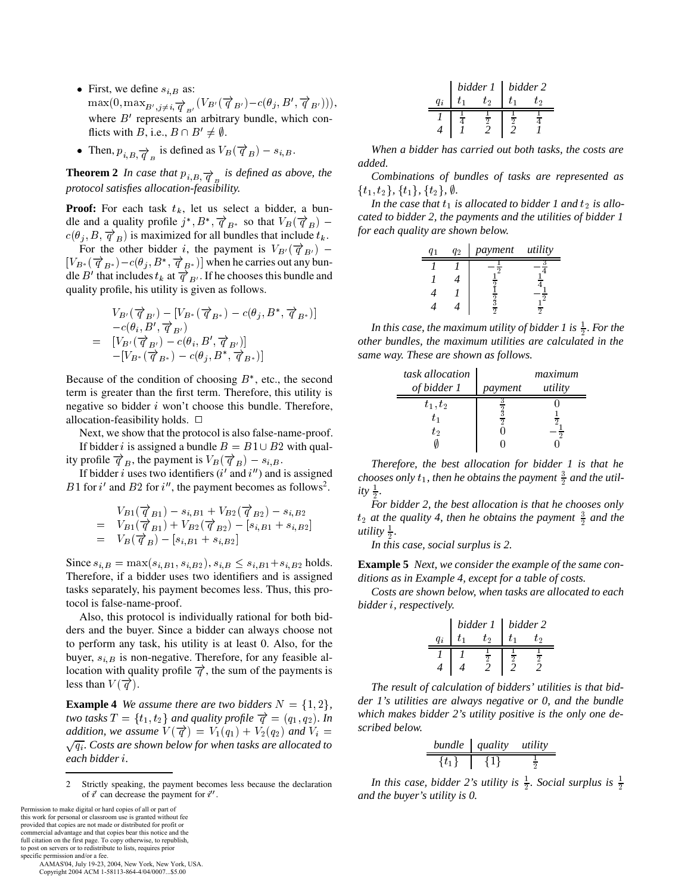- First, we define  $s_{i,B}$  as:  $\max(0, \max_{B',j\neq i,\overrightarrow{q}_{B'}}(V_{B'}(\overrightarrow{q}_{B'})-c(\theta_j, B', \overrightarrow{q}_{B'}))),$ where  $B'$  represents an arbitrary bundle, which conflicts with B, i.e.,  $B \cap B' \neq \emptyset$ .
- Then,  $p_{i,B} \overrightarrow{q}$  is defined as  $V_B(\overrightarrow{q}_B) s_{i,B}$ .

**Theorem 2** In case that  $p_{i,B} \rightarrow$  is defined as above, the *protocol satisfies allocation-feasibility.*

**Proof:** For each task  $t_k$ , let us select a bidder, a bundle and a quality profile  $j^*, B^*, \overrightarrow{q}_{B^*}$  so that  $V_B(\overrightarrow{q}_B)$  – called to  $c(\theta_j, B, \overrightarrow{q}_B)$  is maximized for all bundles that include  $t_k$ .

For the other bidder i, the payment is  $V_{B}(\vec{q}_{B})$  –  $[V_{B^*}(\overrightarrow{q}_{B^*})-c(\theta_i, B^*, \overrightarrow{q}_{B^*})]$  when he carries out any bundle B' that includes  $t_k$  at  $\overrightarrow{q}_{B'}$ . If he chooses this bundle and quality profile, his utility is given as follows.

$$
V_{B'}(\overrightarrow{q}_{B'}) - [V_{B^*}(\overrightarrow{q}_{B^*}) - c(\theta_j, B^*, \overrightarrow{q}_{B^*})]
$$
  
\n
$$
-c(\theta_i, B', \overrightarrow{q}_{B'})
$$
  
\n
$$
= [V_{B'}(\overrightarrow{q}_{B'}) - c(\theta_i, B', \overrightarrow{q}_{B'})]
$$
  
\n
$$
-[V_{B^*}(\overrightarrow{q}_{B^*}) - c(\theta_j, B^*, \overrightarrow{q}_{B^*})]
$$

Because of the condition of choosing  $B^*$ , etc., the second term is greater than the first term. Therefore, this utility is negative so bidder  $i$  won't choose this bundle. Therefore, allocation-feasibility holds.  $\Box$ 

Next, we show that the protocol is also false-name-proof. If bidder *i* is assigned a bundle  $B = B1 \cup B2$  with qual-

ity profile  $\overrightarrow{q}_B$ , the payment is  $V_B(\overrightarrow{q}_B) - s_{i,B}$ .

If bidder *i* uses two identifiers  $(i'$  and  $i'$ ) and is assigned B1 for i' and B2 for i'', the payment becomes as follows<sup>2</sup>.

$$
V_{B1}(\vec{\boldsymbol{q}}_{B1}) - s_{i,B1} + V_{B2}(\vec{\boldsymbol{q}}_{B2}) - s_{i,B2}
$$
  
=  $V_{B1}(\vec{\boldsymbol{q}}_{B1}) + V_{B2}(\vec{\boldsymbol{q}}_{B2}) - [s_{i,B1} + s_{i,B2}]$   
=  $V_B(\vec{\boldsymbol{q}}_B) - [s_{i,B1} + s_{i,B2}]$ 

Since  $s_{i,B} = \max(s_{i,B1}, s_{i,B2}), s_{i,B} \leq s_{i,B1} + s_{i,B2}$  holds. Therefore, if a bidder uses two identifiers and is assigned tasks separately, his payment becomes less. Thus, this protocol is false-name-proof.

Also, this protocol is individually rational for both bidders and the buyer. Since a bidder can always choose not to perform any task, his utility is at least 0. Also, for the buyer,  $s_{i,B}$  is non-negative. Therefore, for any feasible allocation with quality profile  $\vec{q}$ , the sum of the payments is less than  $V(\vec{\sigma})$ .

**Example 4** We assume there are two bidders  $N = \{1, 2\}$ ,  $\qquad$ *two tasks*  $T = \{t_1, t_2\}$  and quality profile  $\overrightarrow{q} = (q_1, q_2)$ . In Which *addition, we assume*  $V(\vec{q}) = V_1(q_1) + V_2(q_2)$  *and*  $V_i =$  $\sqrt{q_i}$ . Costs are shown below for when tasks are allocated to *each bidder .*

Permission to make digital or hard copies of all or part of this work for personal or classroom use is granted without fee provided that copies are not made or distributed for profit or commercial advantage and that copies bear this notice and the full citation on the first page. To copy otherwise, to republish, to post on servers or to redistribute to lists, requires prior

specific permission and/or a fee. AAMAS'04, July 19-23, 2004, New York, New York, USA. Copyright 2004 ACM 1-58113-864-4/04/0007...\$5.00

| hidden 1 | bidder 2      |               |               |               |
|----------|---------------|---------------|---------------|---------------|
| $q_i$    | $t_1$         | $t_2$         | $t_1$         | $t_2$         |
| $I$      | $\frac{1}{4}$ | $\frac{1}{2}$ | $\frac{1}{2}$ | $\frac{1}{4}$ |
| $4$      | $I$           | $2$           | $\frac{1}{2}$ | $\frac{1}{4}$ |

*When a bidder has carried out both tasks, the costs are added.*

*Combinations of bundles of tasks are represented as*  $\{t_1, t_2\}, \{t_1\}, \{t_2\}, \emptyset.$ 

In the case that  $t_1$  is allocated to bidder 1 and  $t_2$  is allo*cated to bidder 2, the payments and the utilities of bidder 1 for each quality are shown below.*

| $q_1$ | $q_2$ | payment        | utility        |
|-------|-------|----------------|----------------|
| $I$   | $I$   | $-\frac{1}{2}$ | $-\frac{3}{4}$ |
| $I$   | $4$   | $\frac{1}{2}$  | $\frac{1}{4}$  |
| $4$   | $I$   | $\frac{1}{2}$  | $-\frac{1}{2}$ |
| $4$   | $4$   | $\frac{3}{2}$  | $\frac{1}{2}$  |

In this case, the maximum utility of bidder 1 is  $\frac{1}{2}$ . For the <u>experimental properties</u> *other bundles, the maximum utilities are calculated in the same way. These are shown as follows.*

| task allocation | maximum |         |  |
|-----------------|---------|---------|--|
| of bidder 1     | payment | utility |  |
| $t_1, t_2$      |         |         |  |
| $t_{1}$         | ച       |         |  |
| to              |         |         |  |
|                 |         |         |  |

*Therefore, the best allocation for bidder 1 is that he chooses only*  $t_1$ *, then he obtains the payment*  $\frac{3}{2}$  *and the utility*  $\frac{1}{2}$ .

 *For bidder 2, the best allocation is that he chooses only*  $t_2$  at the quality 4, then he obtains the payment  $\frac{3}{2}$  and the *utility*  $\frac{1}{2}$ .

*In this case, social surplus is 2.*

**Example 5** *Next, we consider the example of the same conditions as in Example 4, except for a table of costs.*

*Costs are shown below, when tasks are allocated to each bidder , respectively.*

| $bidden 1 \mid bidden 2$ |    |  |    |  |
|--------------------------|----|--|----|--|
|                          | tэ |  | Ťэ |  |
|                          |    |  |    |  |
|                          |    |  |    |  |

*The result of calculation of bidders' utilities is that bidder 1's utilities are always negative or 0, and the bundle which makes bidder 2's utility positive is the only one described below.*

| bundle    | quality | utility       |
|-----------|---------|---------------|
| $\{t_1\}$ | $\{1\}$ | $\frac{1}{2}$ |

*In this case, bidder 2's utility is*  $\frac{1}{2}$ *. Social surplus is*  $\frac{1}{2}$ *and the buyer's utility is 0.*

<sup>2</sup> Strictly speaking, the payment becomes less because the declaration of  $i'$  can decrease the payment for  $i''$ .